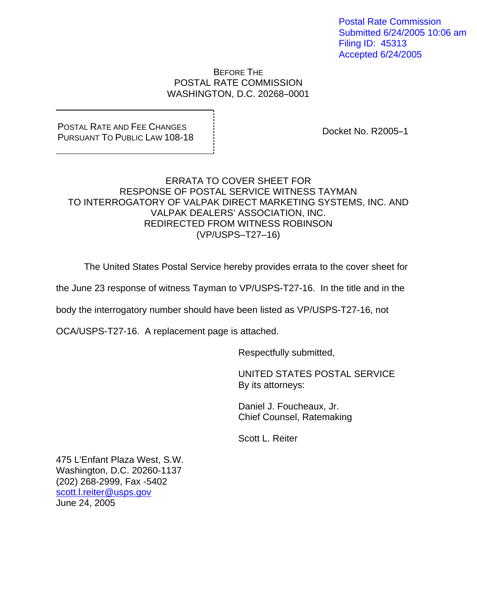Postal Rate Commission Submitted 6/24/2005 10:06 am Filing ID: 45313 Accepted 6/24/2005

BEFORE THE POSTAL RATE COMMISSION WASHINGTON, D.C. 20268-0001

## POSTAL RATE AND FEE CHANGES PURSUANT TO PUBLIC LAW 108-18 DOCKET NO. R2005-1

## ERRATA TO COVER SHEET FOR RESPONSE OF POSTAL SERVICE WITNESS TAYMAN TO INTERROGATORY OF VALPAK DIRECT MARKETING SYSTEMS, INC. AND VALPAK DEALERS' ASSOCIATION, INC. REDIRECTED FROM WITNESS ROBINSON (VP/USPS–T27–16)

The United States Postal Service hereby provides errata to the cover sheet for

the June 23 response of witness Tayman to VP/USPS-T27-16. In the title and in the

body the interrogatory number should have been listed as VP/USPS-T27-16, not

OCA/USPS-T27-16. A replacement page is attached.

Respectfully submitted,

 UNITED STATES POSTAL SERVICE By its attorneys:

 Daniel J. Foucheaux, Jr. Chief Counsel, Ratemaking

Scott L. Reiter

475 L'Enfant Plaza West, S.W. Washington, D.C. 20260-1137 (202) 268-2999, Fax -5402 scott.l.reiter@usps.gov June 24, 2005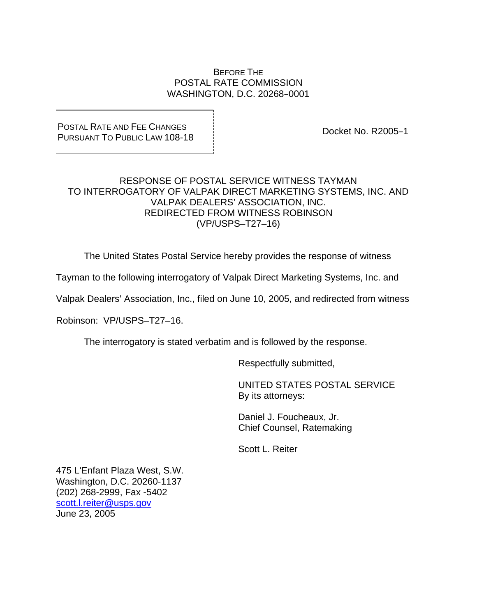#### BEFORE THE POSTAL RATE COMMISSION WASHINGTON, D.C. 20268-0001

### POSTAL RATE AND FEE CHANGES PURSUANT TO PUBLIC LAW 108-18 DOCKET NO. R2005-1

## RESPONSE OF POSTAL SERVICE WITNESS TAYMAN TO INTERROGATORY OF VALPAK DIRECT MARKETING SYSTEMS, INC. AND VALPAK DEALERS' ASSOCIATION, INC. REDIRECTED FROM WITNESS ROBINSON (VP/USPS–T27–16)

The United States Postal Service hereby provides the response of witness

Tayman to the following interrogatory of Valpak Direct Marketing Systems, Inc. and

Valpak Dealers' Association, Inc., filed on June 10, 2005, and redirected from witness

Robinson: VP/USPS–T27–16.

The interrogatory is stated verbatim and is followed by the response.

Respectfully submitted,

 UNITED STATES POSTAL SERVICE By its attorneys:

 Daniel J. Foucheaux, Jr. Chief Counsel, Ratemaking

Scott L. Reiter

475 L'Enfant Plaza West, S.W. Washington, D.C. 20260-1137 (202) 268-2999, Fax -5402 scott.l.reiter@usps.gov June 23, 2005